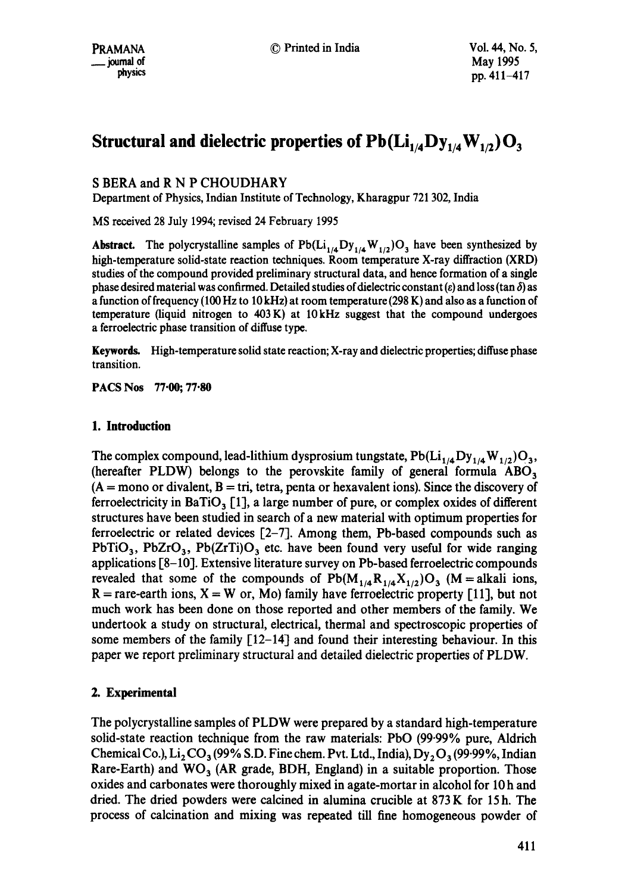# **Structural and dielectric properties of**  $Pb(Li_{1/4}Dy_{1/4}W_{1/2})O_3$

## S BERA and R N P CHOUDHARY

Department of Physics, Indian Institute of Technology, Kharagpur 721 302, India

MS received 28 July 1994; revised 24 February 1995

**Abstract.** The polycrystalline samples of  $Pb(Li_{1/4}Dy_{1/4}W_{1/2})O_3$  have been synthesized by high-temperature solid-state reaction techniques. Room temperature X-ray diffraction (XRD) studies of the compound provided preliminary structural data, and hence formation of a single phase desired material was confirmed. Detailed studies of dielectric constant ( $\varepsilon$ ) and loss (tan  $\delta$ ) as a function of frequency (100 Hz to 10 kHz) at room temperature (298 K) and also as a function of temperature (liquid nitrogen to  $403 \text{ K}$ ) at  $10 \text{ kHz}$  suggest that the compound undergoes a ferroelectric phase transition of diffuse type.

Keywords. High-temperature solid state reaction; X-ray and dielectric properties; diffuse phase transition.

PACS Nos 77.00; 77.80

## **1. Introduction**

The complex compound, lead-lithium dysprosium tungstate,  $Pb(Li_{1/4}Dy_{1/4}W_{1/2})O_3$ , (hereafter PLDW) belongs to the perovskite family of general formula  $\text{ABO}_3$  $(A = \text{mono} \text{ or } \text{divalent}, B = \text{tri}, \text{tetra}, \text{ penta} \text{ or } \text{hexavalent} \text{ ions}).$  Since the discovery of ferroelectricity in BaTiO<sub>3</sub> [1], a large number of pure, or complex oxides of different structures have been studied in search of a new material with optimum properties for ferroelectric or related devices  $[2-7]$ . Among them, Pb-based compounds such as PbTiO<sub>3</sub>, PbZrO<sub>3</sub>, Pb(ZrTi)O<sub>3</sub> etc. have been found very useful for wide ranging applications [8-10]. Extensive literature survey on Pb-based ferroelectric compounds revealed that some of the compounds of  $Pb(M_{1/4}R_{1/4}X_{1/2})O_3$  (M = alkali ions,  $R =$  rare-earth ions,  $X = W$  or, Mo) family have ferroelectric property [11], but not much work has been done on those reported and other members of the family. We undertook a study on structural, electrical, thermal and spectroscopic properties of some members of the family  $[12-14]$  and found their interesting behaviour. In this paper we report preliminary structural and detailed dielectric properties of PLDW.

## **2. Experimental**

The polycrystalline samples of PLDW were prepared by a standard high-temperature solid-state reaction technique from the raw materials: PbO (99.99% pure, Aldrich Chemical Co.),  $Li_2CO_3$  (99% S.D. Fine chem. Pvt. Ltd., India), Dy, O<sub>3</sub> (99.99%, Indian Rare-Earth) and  $WO_3$  (AR grade, BDH, England) in a suitable proportion. Those oxides and carbonates were thoroughly mixed in agate-mortar in alcohol for 10 h and dried. The dried powders were calcined in alumina crucible at 873 K for 15 h. The process of calcination and mixing was repeated till fine homogeneous powder of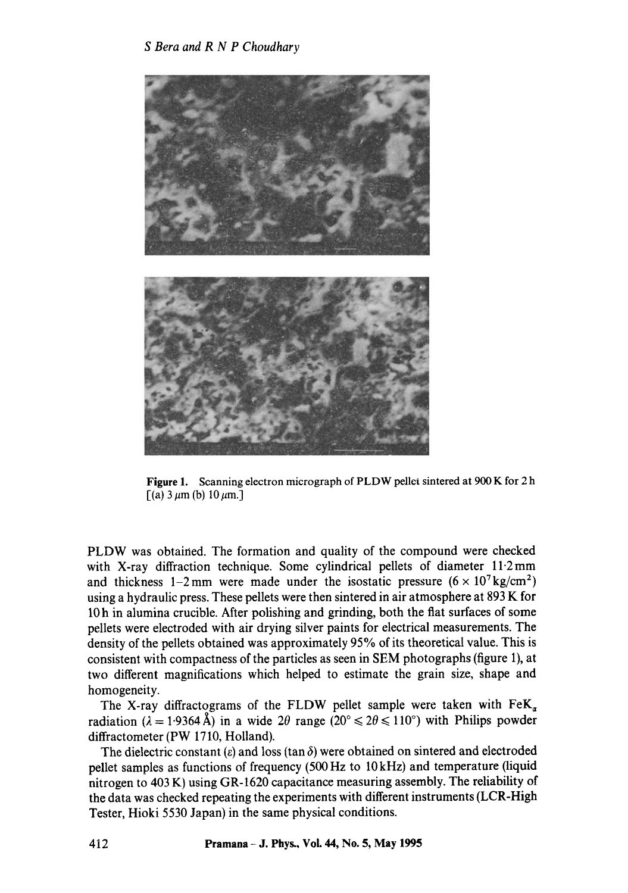

**Figure** 1. Scanning electron micrograph of PLDW pellet sintered at 900 K for 2 h  $[(a) 3 \mu m (b) 10 \mu m]$ 

PLDW was obtained. The formation and quality of the compound were checked with X-ray diffraction technique. Some cylindrical pellets of diameter  $11.2 \text{ mm}$ and thickness 1-2mm were made under the isostatic pressure  $(6 \times 10^7 \text{ kg/cm}^2)$ using a hydraulic press. These pellets were then sintered in air atmosphere at 893 K for 10 h in alumina crucible. After polishing and grinding, both the flat surfaces of some pellets were electroded with air drying silver paints for electrical measurements. The density of the pellets obtained was approximately 95% of its theoretical value. This is consistent with compactness of the particles as seen in SEM photographs (figure 1), at two different magnifications which helped to estimate the grain size, shape and homogeneity.

The X-ray diffractograms of the FLDW pellet sample were taken with  $FeK_a$ radiation ( $\lambda = 1.9364 \text{ Å}$ ) in a wide  $2\theta$  range ( $20^{\circ} \le 2\theta \le 110^{\circ}$ ) with Philips powder diffractometer (PW 1710, Holland).

The dielectric constant ( $\varepsilon$ ) and loss (tan  $\delta$ ) were obtained on sintered and electroded pellet samples as functions of frequency (500 Hz to 10 kHz) and temperature (liquid nitrogen to 403 K) using GR-1620 capacitance measuring assembly. The reliability of the data was checked repeating the experiments with different instruments (LCR-High Tester, Hioki 5530 Japan) in the same physical conditions.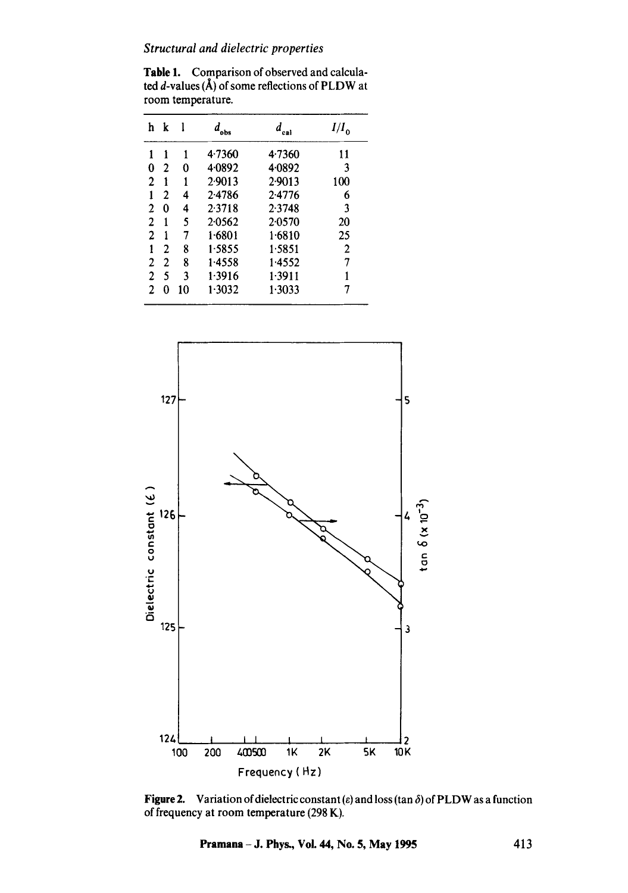## *Structural and dielectric properties*

Table 1. Comparison of observed and calculated  $d$ -values ( $\hat{A}$ ) of some reflections of PLDW at room temperature.

| h | k | l  | obs    |        | $I/I_{\alpha}$ |
|---|---|----|--------|--------|----------------|
| 1 | 1 | 1  | 4.7360 | 4.7360 | 11             |
| 0 | 2 | 0  | 4.0892 | 4.0892 | 3              |
| 2 | 1 | 1  | 2.9013 | 2.9013 | 100            |
| 1 | 2 | 4  | 2.4786 | 2.4776 | 6              |
| 2 | 0 | 4  | 2.3718 | 2.3748 | 3              |
| 2 | 1 | 5  | 2.0562 | 2.0570 | 20             |
| 2 | 1 | 7  | 1.6801 | 1.6810 | 25             |
| 1 | 2 | 8  | 1.5855 | 1.5851 | 2              |
| 2 | 2 | 8  | 1.4558 | 1.4552 | 7              |
| 2 | 5 | 3  | 1.3916 | 1.3911 |                |
| 2 | 0 | 10 | 1.3032 | 1.3033 |                |



**Figure 2.** Variation of dielectric constant (e) and loss (tan  $\delta$ ) of PLDW as a function of frequency at room temperature (298 K).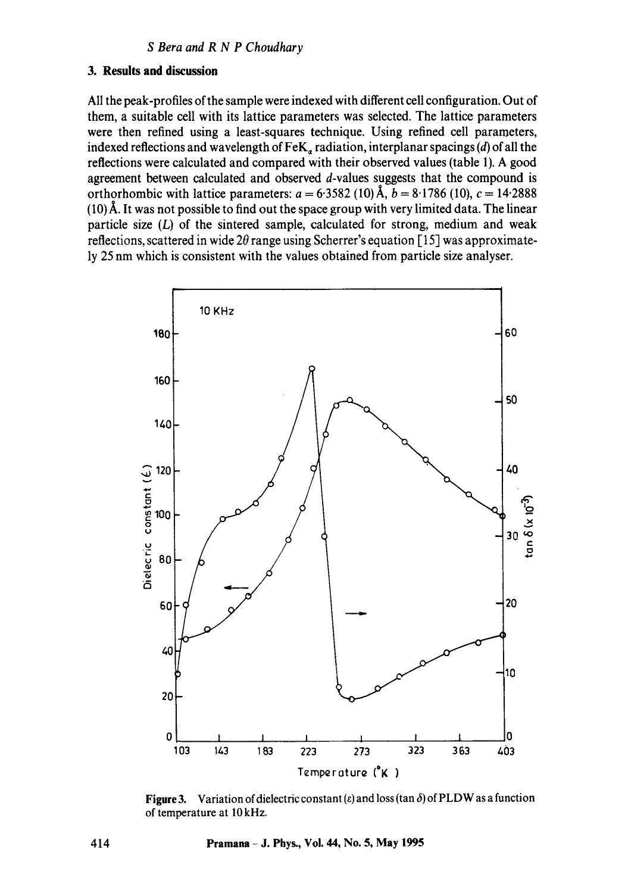## **3. Results and discussion**

All the peak-profiles of the sample were indexed with different cell configuration. Out of them, a suitable cell with its lattice parameters was selected. The lattice parameters were then refined using a least-squares technique. Using refined cell parameters, indexed reflections and wavelength of FeK, radiation, interplanar spacings (d) of all the reflections were calculated and compared with their observed values (table 1). A good agreement between calculated and observed d-values suggests that the compound is orthorhombic with lattice parameters:  $a = 6.3582 (10)$  Å,  $b = 8.1786 (10)$ ,  $c = 14.2888$  $(10)$ Å. It was not possible to find out the space group with very limited data. The linear particle size  $(L)$  of the sintered sample, calculated for strong, medium and weak reflections, scattered in wide  $2\theta$  range using Scherrer's equation [15] was approximately 25 nm which is consistent with the values obtained from particle size analyser.



Figure 3. Variation of dielectric constant ( $\varepsilon$ ) and loss (tan  $\delta$ ) of PLDW as a function of temperature at I0 kHz.

**414 Pramana - J. Phys., Vol. 44, No. 5, May 1995**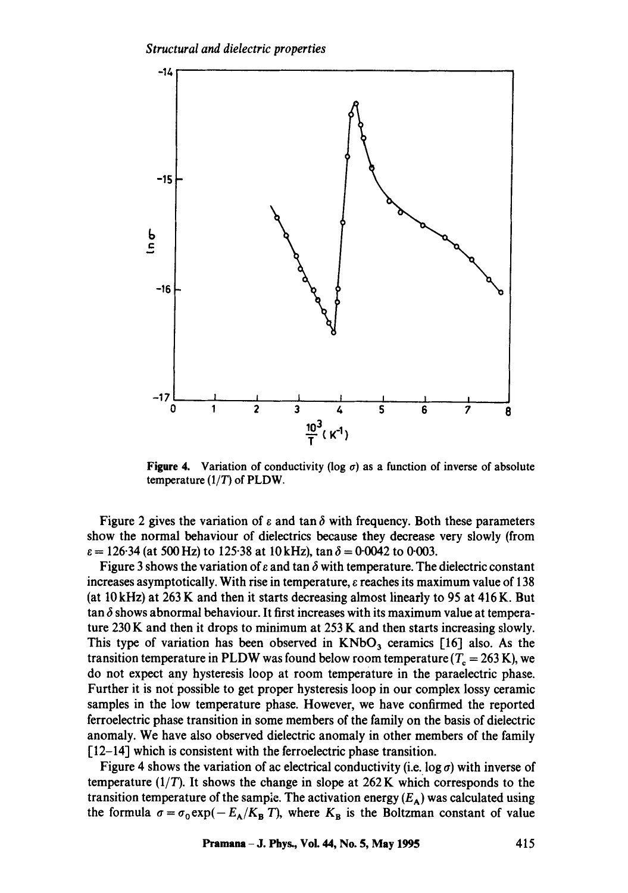

**Figure 4.** Variation of conductivity (log  $\sigma$ ) as a function of inverse of absolute temperature  $(1/T)$  of PLDW.

Figure 2 gives the variation of  $\varepsilon$  and tan  $\delta$  with frequency. Both these parameters show the normal behaviour of dielectrics because they decrease very slowly (from  $\varepsilon = 126.34$  (at 500 Hz) to 125.38 at 10 kHz), tan  $\delta = 0.0042$  to 0.003.

Figure 3 shows the variation of  $\varepsilon$  and tan  $\delta$  with temperature. The dielectric constant increases asymptotically. With rise in temperature,  $\varepsilon$  reaches its maximum value of 138 (at  $10 \text{ kHz}$ ) at  $263 \text{ K}$  and then it starts decreasing almost linearly to 95 at 416 K. But  $\tan \delta$  shows abnormal behaviour. It first increases with its maximum value at temperature 230 K and then it drops to minimum at  $253$  K and then starts increasing slowly. This type of variation has been observed in  $KNbO<sub>3</sub>$  ceramics [16] also. As the transition temperature in PLDW was found below room temperature ( $T_c = 263$  K), we do not expect any hysteresis loop at room temperature in the paraelectric phase. Further it is not possible to get proper hysteresis loop in our complex lossy ceramic samples in the low temperature phase. However, we have confirmed the reported ferroelectric phase transition in some members of the family on the basis of dielectric anomaly. We have also observed dielectric anomaly in other members of the family [12-14] which is consistent with the ferroelectric phase transition.

Figure 4 shows the variation of ac electrical conductivity (i.e. log  $\sigma$ ) with inverse of temperature  $(1/T)$ . It shows the change in slope at  $262$  K which corresponds to the transition temperature of the sample. The activation energy  $(E_A)$  was calculated using the formula  $\sigma = \sigma_0 \exp(-E_A/K_B T)$ , where  $K_B$  is the Boltzman constant of value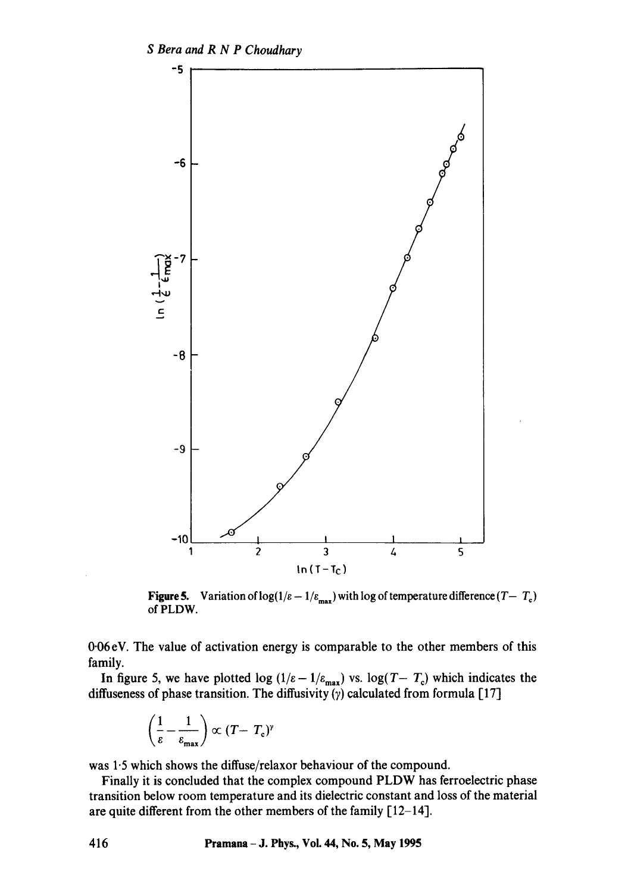

**Figure 5.** Variation of  $log(1/\varepsilon - 1/\varepsilon_{max})$  with log of temperature difference  $(T-T_c)$ of PLDW.

0.06 eV. The value of activation energy is comparable to the other members of this family.

In figure 5, we have plotted log  $(1/\varepsilon - 1/\varepsilon_{\text{max}})$  vs. log(T-  $T_c$ ) which indicates the diffuseness of phase transition. The diffusivity  $(y)$  calculated from formula [17]

$$
\left(\frac{1}{\varepsilon} - \frac{1}{\varepsilon_{\max}}\right) \propto (T - T_{\rm c})^{\gamma}
$$

was 1.5 which shows the diffuse/relaxor behaviour of the compound.

Finally it is concluded that the complex compound PLDW has ferroelectric phase transition below room temperature and its dielectric constant and loss of the material are quite different from the other members of the family  $[12-14]$ .